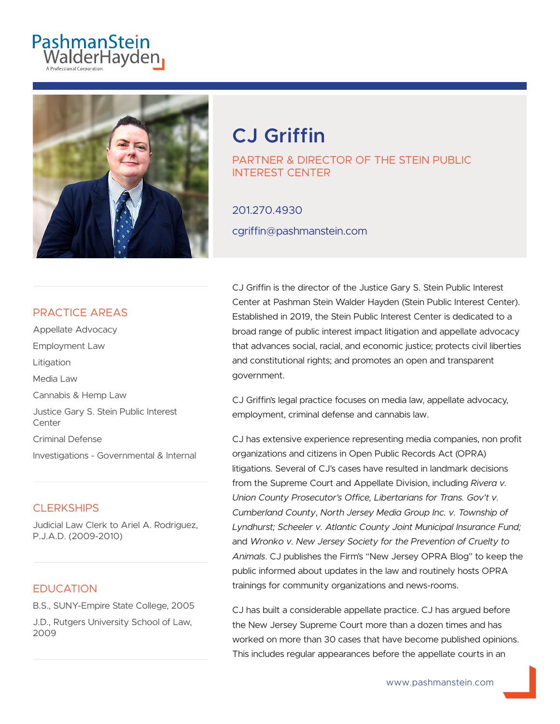



# **CJ Griffin**

PARTNER & DIRECTOR OF THE STEIN PUBLIC INTEREST CENTER

201.270.4930 cgriffin@pashmanstein.com

### PRACTICE AREAS

Appellate Advocacy Employment Law Litigation Media Law Cannabis & Hemp Law Justice Gary S. Stein Public Interest Center Criminal Defense Investigations - Governmental & Internal

#### **CLERKSHIPS**

Judicial Law Clerk to Ariel A. Rodriguez, P.J.A.D. (2009-2010)

### **EDUCATION**

B.S., SUNY-Empire State College, 2005 J.D., Rutgers University School of Law, 2009

CJ Griffin is the director of the Justice Gary S. Stein Public Interest Center at Pashman Stein Walder Hayden (Stein Public Interest Center). Established in 2019, the Stein Public Interest Center is dedicated to a broad range of public interest impact litigation and appellate advocacy that advances social, racial, and economic justice; protects civil liberties and constitutional rights; and promotes an open and transparent government.

CJ Griffin's legal practice focuses on media law, appellate advocacy, employment, criminal defense and cannabis law.

CJ has extensive experience representing media companies, non profit organizations and citizens in Open Public Records Act (OPRA) litigations. Several of CJ's cases have resulted in landmark decisions from the Supreme Court and Appellate Division, including *Rivera v. Union County Prosecutor's Office, Libertarians for Trans. Gov't v. Cumberland County*, *North Jersey Media Group Inc. v. Township of Lyndhurst; Scheeler v. Atlantic County Joint Municipal Insurance Fund;* and *Wronko v. New Jersey Society for the Prevention of Cruelty to Animals*. CJ publishes the Firm's "New Jersey OPRA Blog" to keep the public informed about updates in the law and routinely hosts OPRA trainings for community organizations and news-rooms.

CJ has built a considerable appellate practice. CJ has argued before the New Jersey Supreme Court more than a dozen times and has worked on more than 30 cases that have become published opinions. This includes regular appearances before the appellate courts in an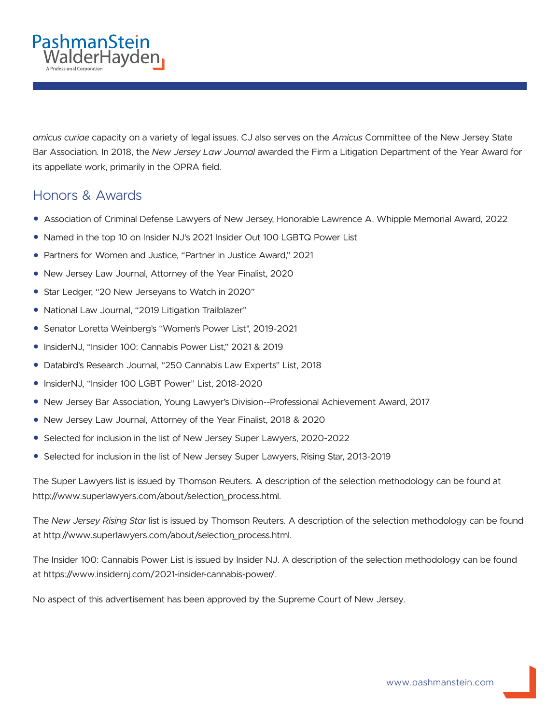

Bar Association. In 2018, the *New Jersey Law Journal* awarded the Firm a Litigation Department of the Year Award for its appellate work, primarily in the OPRA field.

## Honors & Awards

PashmanStein

unitatiocen.<br>ValderHayden<sub>i</sub>

- Association of Criminal Defense Lawyers of New Jersey, Honorable Lawrence A. Whipple Memorial Award, 2022
- Named in the top 10 on Insider NJ's 2021 Insider Out 100 LGBTQ Power List
- Partners for Women and Justice, "Partner in Justice Award," 2021
- New Jersey Law Journal, Attorney of the Year Finalist, 2020
- Star Ledger, "20 New Jerseyans to Watch in 2020"
- National Law Journal, "2019 Litigation Trailblazer"
- Senator Loretta Weinberg's "Women's Power List", 2019-2021
- InsiderNJ, "Insider 100: Cannabis Power List," 2021 & 2019
- Databird's Research Journal, "250 Cannabis Law Experts" List, 2018
- InsiderNJ, "Insider 100 LGBT Power" List, 2018-2020
- New Jersey Bar Association, Young Lawyer's Division--Professional Achievement Award, 2017
- New Jersey Law Journal, Attorney of the Year Finalist, 2018 & 2020
- Selected for inclusion in the list of New Jersey Super Lawyers, 2020-2022
- Selected for inclusion in the list of New Jersey Super Lawyers, Rising Star, 2013-2019

The Super Lawyers list is issued by Thomson Reuters. A description of the selection methodology can be found at http://www.superlawyers.com/about/selection\_process.html.

The *New Jersey Rising Star* list is issued by Thomson Reuters. A description of the selection methodology can be found at http://www.superlawyers.com/about/selection\_process.html.

The Insider 100: Cannabis Power List is issued by Insider NJ. A description of the selection methodology can be found at https://www.insidernj.com/2021-insider-cannabis-power/.

No aspect of this advertisement has been approved by the Supreme Court of New Jersey.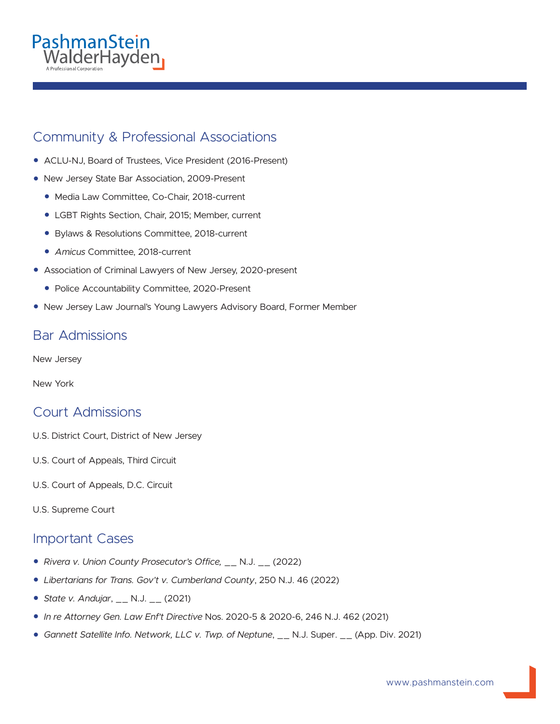## PashmanStein valderHayden

## Community & Professional Associations

- ACLU-NJ, Board of Trustees, Vice President (2016-Present)
- New Jersey State Bar Association, 2009-Present
	- Media Law Committee, Co-Chair, 2018-current
	- LGBT Rights Section, Chair, 2015; Member, current
	- Bylaws & Resolutions Committee, 2018-current
	- *Amicus* Committee, 2018-current
- Association of Criminal Lawyers of New Jersey, 2020-present
	- Police Accountability Committee, 2020-Present
- New Jersey Law Journal's Young Lawyers Advisory Board, Former Member

## Bar Admissions

New Jersey

New York

### Court Admissions

- U.S. District Court, District of New Jersey
- U.S. Court of Appeals, Third Circuit
- U.S. Court of Appeals, D.C. Circuit
- U.S. Supreme Court

### Important Cases

- *Rivera v. Union County Prosecutor's Office,* \_\_ N.J. \_\_ (2022)
- *Libertarians for Trans. Gov't v. Cumberland County*, 250 N.J. 46 (2022)
- *State v. Andujar*, \_\_ N.J. \_\_ (2021)
- *In re Attorney Gen. Law Enf't Directive* Nos. 2020-5 & 2020-6, 246 N.J. 462 (2021)
- *Gannett Satellite Info. Network, LLC v. Twp. of Neptune*, \_\_ N.J. Super. \_\_ (App. Div. 2021)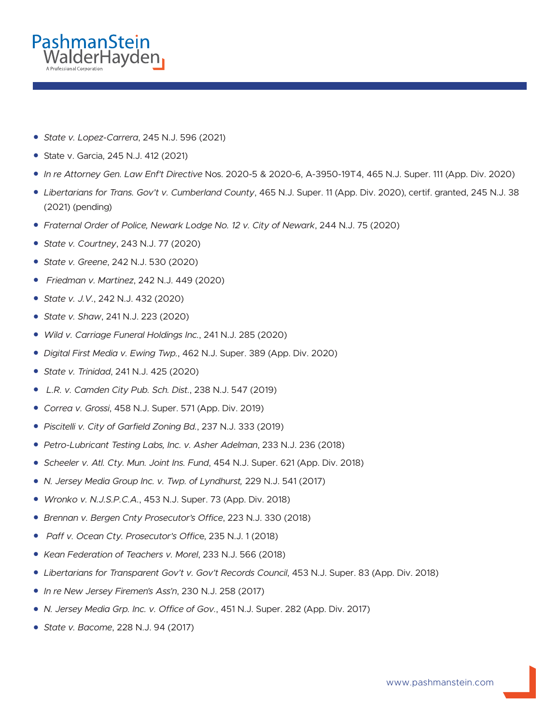

- *State v. Lopez-Carrera*, 245 N.J. 596 (2021)
- State v. Garcia, 245 N.J. 412 (2021)
- *In re Attorney Gen. Law Enf't Directive* Nos. 2020-5 & 2020-6, A-3950-19T4, 465 N.J. Super. 111 (App. Div. 2020)
- *Libertarians for Trans. Gov't v. Cumberland County*, 465 N.J. Super. 11 (App. Div. 2020), certif. granted, 245 N.J. 38 (2021) (pending)
- *Fraternal Order of Police, Newark Lodge No. 12 v. City of Newark*, 244 N.J. 75 (2020)
- *State v. Courtney*, 243 N.J. 77 (2020)
- *State v. Greene*, 242 N.J. 530 (2020)
- ● *Friedman v. Martinez*, 242 N.J. 449 (2020)
- *State v. J.V.*, 242 N.J. 432 (2020)
- *State v. Shaw*, 241 N.J. 223 (2020)
- *Wild v. Carriage Funeral Holdings Inc.*, 241 N.J. 285 (2020)
- *Digital First Media v. Ewing Twp.*, 462 N.J. Super. 389 (App. Div. 2020)
- *State v. Trinidad*, 241 N.J. 425 (2020)
- ● *L.R. v. Camden City Pub. Sch. Dist.*, 238 N.J. 547 (2019)
- *Correa v. Grossi*, 458 N.J. Super. 571 (App. Div. 2019)
- *Piscitelli v. City of Garfield Zoning Bd.*, 237 N.J. 333 (2019)
- *Petro-Lubricant Testing Labs, Inc. v. Asher Adelman*, 233 N.J. 236 (2018)
- *Scheeler v. Atl. Cty. Mun. Joint Ins. Fund*, 454 N.J. Super. 621 (App. Div. 2018)
- *N. Jersey Media Group Inc. v. Twp. of Lyndhurst,* 229 N.J. 541 (2017)
- *Wronko v. N.J.S.P.C.A.*, 453 N.J. Super. 73 (App. Div. 2018)
- *Brennan v. Bergen Cnty Prosecutor's Office*, 223 N.J. 330 (2018)
- ● *Paff v. Ocean Cty. Prosecutor's Offic*e, 235 N.J. 1 (2018)
- *Kean Federation of Teachers v. Morel*, 233 N.J. 566 (2018)
- *Libertarians for Transparent Gov't v. Gov't Records Council*, 453 N.J. Super. 83 (App. Div. 2018)
- *In re New Jersey Firemen's Ass'n*, 230 N.J. 258 (2017)
- *N. Jersey Media Grp. Inc. v. Office of Gov.*, 451 N.J. Super. 282 (App. Div. 2017)
- *State v. Bacome*, 228 N.J. 94 (2017)